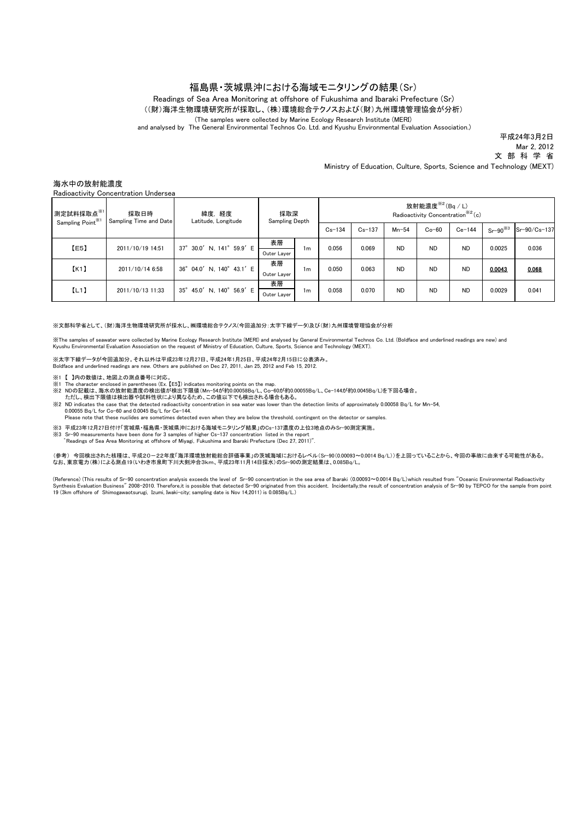## 福島県・茨城県沖における海域モニタリングの結果(Sr)

Readings of Sea Area Monitoring at offshore of Fukushima and Ibaraki Prefecture (Sr)

((財)海洋生物環境研究所が採取し、(株)環境総合テクノスおよび(財)九州環境管理協会が分析)

(The samples were collected by Marine Ecology Research Institute (MERI)

and analysed by The General Environmental Technos Co. Ltd. and Kyushu Environmental Evaluation Association.)

平成24年3月2日 Mar 2, 2012

文 部 科 学 省

Ministry of Education, Culture, Sports, Science and Technology (MEXT)

## 海水中の放射能濃度

Radioactivity Concentration Undersea

| 測定試料採取点※1<br>Sampling Point <sup>**1</sup> | 採取日時<br>Sampling Time and Date | 緯度, 経度<br>Latitude, Longitude                  | 採取深<br>Sampling Depth |    | 放射能濃度 $*$ <sup>2</sup> (Bq/L)<br>Radioactivity Concentration <sup>362</sup> (c) |            |           |           |           |              |              |
|--------------------------------------------|--------------------------------|------------------------------------------------|-----------------------|----|---------------------------------------------------------------------------------|------------|-----------|-----------|-----------|--------------|--------------|
|                                            |                                |                                                |                       |    | $Cs - 134$                                                                      | $Cs - 137$ | $Mn-54$   | $Co-60$   | $Ce-144$  | $Sr-90^{38}$ | Sr-90/Cs-137 |
| [E5]                                       | 2011/10/19 14:51               | 37° 30.0' N, 141° 59.9' E                      | 表層                    | 1m | 0.056                                                                           | 0.069      | <b>ND</b> | <b>ND</b> | <b>ND</b> | 0.0025       | 0.036        |
|                                            |                                |                                                | Outer Layer           |    |                                                                                 |            |           |           |           |              |              |
| K1                                         | 2011/10/14 6:58                | 04.0' N, $140^{\circ}$ 43.1' E<br>$36^{\circ}$ | 表層<br>Outer Layer     | 1m | 0.050                                                                           | 0.063      | <b>ND</b> | <b>ND</b> | <b>ND</b> | 0.0043       | 0.068        |
| [L1]                                       | 2011/10/13 11:33               | 45.0' N, 140° 56.9' E<br>$35^{\circ}$          | 表層                    | 1m | 0.058                                                                           | 0.070      | <b>ND</b> | <b>ND</b> | <b>ND</b> | 0.0029       | 0.041        |
|                                            |                                |                                                | Outer Layer           |    |                                                                                 |            |           |           |           |              |              |

※文部科学省として、(財)海洋生物環境研究所が採水し、㈱環境総合テクノス(今回追加分:太字下線データ)及び(財)九州環境管理協会が分析

※The samples of seawater were collected by Marine Ecology Research Institute (MERI) and analysed by General Environmental Technos Co. Ltd. (Boldface and underlined readings are new) and Kyushu Environmental Evaluation Association on the request of Ministry of Education, Culture, Sports, Science and Technology (MEXT).

※太字下線データが今回追加分。それ以外は平成23年12月27日、平成24年1月25日、平成24年2月15日に公表済み。 Boldface and underlined readings are new. Others are published on Dec 27, 2011, Jan 25, 2012 and Feb 15, 2012.

- ※1 【 】内の数値は、地図上の測点番号に対応。
- ※1 The character enclosed in parentheses (Ex. 【E5】) indicates monitoring points on the map.
- ※2 NDの記載は、海水の放射能濃度の検出値が検出下限値(Mn-54が約0.00058Bq/L、Co-60が約0.00055Bq/L、Ce-144が約0.0045Bq/L)を下回る場合。 ただし、検出下限値は検出器や試料性状により異なるため、この値以下でも検出される場合もある。
- ※2 ND indicates the case that the detected radioactivity concentration in sea water was lower than the detection limits of approximately 0.00058 Bq/L for Mn-54, 0.00055 Bq/L for Co-60 and 0.0045 Bq/L for Ce-144.

Please note that these nuclides are sometimes detected even when they are below the threshold, contingent on the detector or samples.

- ※3 平成23年12月27日付け「宮城県・福島県・茨城県沖における海域モニタリング結果」のCs-137濃度の上位3地点のみSr-90測定実施。<br>※3 Sr-90 measurements have been done for 3 samples of higher Cs-137 concentration listed in the report
- ゛Readings of Sea Area Monitoring at offshore of Miyagi,Fukushima and Ibaraki Prefecture (Dec 27, 2011)".

(参考) 今回検出された核種は、平成20-22年度「海洋環境放射能総合評価事業」の茨城海域におけるレベル(Sr-90(0.00093~0.0014 Bq/L))を上回っていることから、今回の事故に由来する可能性がある。<br>なお、東京電力(株)による測点19(いわき市泉町下川大剣沖合3km、平成23年11月14日採水)のSr-90の測定結果は、0.085Bq/L。

(Reference) (This results of Sr-90 concentration analysis exceeds the level of Sr-90 concentration in the sea area of Ibaraki (0.00093~0.0014 Bq/L)which resulted from "Oceanic Environmental Radioactivity Synthesis Evaluation Business" 2008–2010. Therefore,it is possible that detected Sr-90 originated from this accident. Incidentally,the result of concentration analysis of Sr-90 by TEPCO for the sample from point<br>19 (3km of